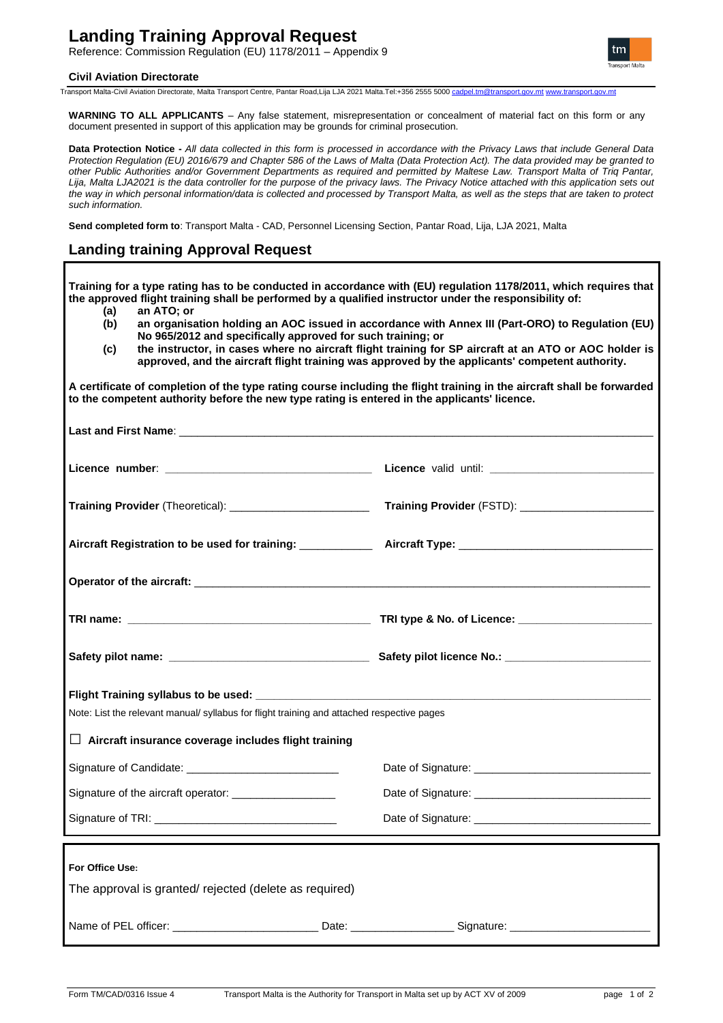# **Landing Training Approval Request**

Reference: Commission Regulation (EU) 1178/2011 – Appendix 9

### **Civil Aviation Directorate**



Transport Malta-Civil Aviation Directorate, Malta Transport Centre, Pantar Road,Lija LJA 2021 Malta.Tel:+356 2555 5000 [cadpel.tm@transport.gov.mt](mailto:cadpel.tm@transport.gov.mt) [www.transport.gov.mt](http://www.transport.gov.mt/)

**WARNING TO ALL APPLICANTS** – Any false statement, misrepresentation or concealment of material fact on this form or any document presented in support of this application may be grounds for criminal prosecution.

**Data Protection Notice -** *All data collected in this form is processed in accordance with the Privacy Laws that include General Data Protection Regulation (EU) 2016/679 and Chapter 586 of the Laws of Malta (Data Protection Act). The data provided may be granted to other Public Authorities and/or Government Departments as required and permitted by Maltese Law. Transport Malta of Triq Pantar, Lija, Malta LJA2021 is the data controller for the purpose of the privacy laws. The Privacy Notice attached with this application sets out the way in which personal information/data is collected and processed by Transport Malta, as well as the steps that are taken to protect such information.*

**Send completed form to**: Transport Malta - CAD, Personnel Licensing Section, Pantar Road, Lija, LJA 2021, Malta

# **Landing training Approval Request**

**Training for a type rating has to be conducted in accordance with (EU) regulation 1178/2011, which requires that the approved flight training shall be performed by a qualified instructor under the responsibility of: (a) an ATO; or (b) an organisation holding an AOC issued in accordance with Annex III (Part-ORO) to Regulation (EU) No 965/2012 and specifically approved for such training; or (c) the instructor, in cases where no aircraft flight training for SP aircraft at an ATO or AOC holder is approved, and the aircraft flight training was approved by the applicants' competent authority. A certificate of completion of the type rating course including the flight training in the aircraft shall be forwarded to the competent authority before the new type rating is entered in the applicants' licence.** Last and First Name: **Last and First Name**: **Licence number**: **\_\_\_\_\_\_\_\_\_\_\_\_\_\_\_\_\_\_\_\_\_\_\_\_\_\_\_\_\_\_\_\_\_\_ Licence** valid until: **\_\_\_\_\_\_\_\_\_\_\_\_\_\_\_\_\_\_\_\_\_\_\_\_\_\_\_ Training Provider** (Theoretical): \_\_\_\_\_\_\_\_\_\_\_\_\_\_\_\_\_\_\_\_\_\_\_ **Training Provider** (FSTD): \_\_\_\_\_\_\_\_\_\_\_\_\_\_\_\_\_\_\_\_\_\_ **Aircraft Registration to be used for training:** \_\_\_\_\_\_\_\_\_\_\_\_ **Aircraft Type:** \_\_\_\_\_\_\_\_\_\_\_\_\_\_\_\_\_\_\_\_\_\_\_\_\_\_\_\_\_\_\_\_ **Operator of the aircraft:** \_\_\_\_\_\_\_\_\_\_\_\_\_\_\_\_\_\_\_\_\_\_\_\_\_\_\_\_\_\_\_\_\_\_\_\_\_\_\_\_\_\_\_\_\_\_\_\_\_\_\_\_\_\_\_\_\_\_\_\_\_\_\_\_\_\_\_\_\_\_\_\_\_\_\_ **TRI name: \_\_\_\_\_\_\_\_\_\_\_\_\_\_\_\_\_\_\_\_\_\_\_\_\_\_\_\_\_\_\_\_\_\_\_\_\_\_\_\_ TRI type & No. of Licence: \_\_\_\_\_\_\_\_\_\_\_\_\_\_\_\_\_\_\_\_\_\_ Safety pilot name:**  external the same of the Safety pilot licence **No.:**  $\overline{\phantom{a}}$ **Flight Training syllabus to be used:** Note: List the relevant manual/ syllabus for flight training and attached respective pages **□ Aircraft insurance coverage includes flight training** Signature of Candidate: Signature of the aircraft operator: \_\_\_\_\_\_\_\_\_\_\_\_\_\_\_\_\_ Signature of TRI: \_\_\_\_\_\_\_\_\_\_\_ Date of Signature: **Date of Signature**: Date of Signature: Date of Signature: \_\_\_\_ **For Office Use:** The approval is granted/ rejected (delete as required) Name of PEL officer: \_\_\_\_\_\_\_\_\_\_\_\_\_\_\_\_\_\_\_\_\_\_\_\_ Date: \_\_\_\_\_\_\_\_\_\_\_\_\_\_\_\_\_ Signature: \_\_\_\_\_\_\_\_\_\_\_\_\_\_\_\_\_\_\_\_\_\_\_\_\_\_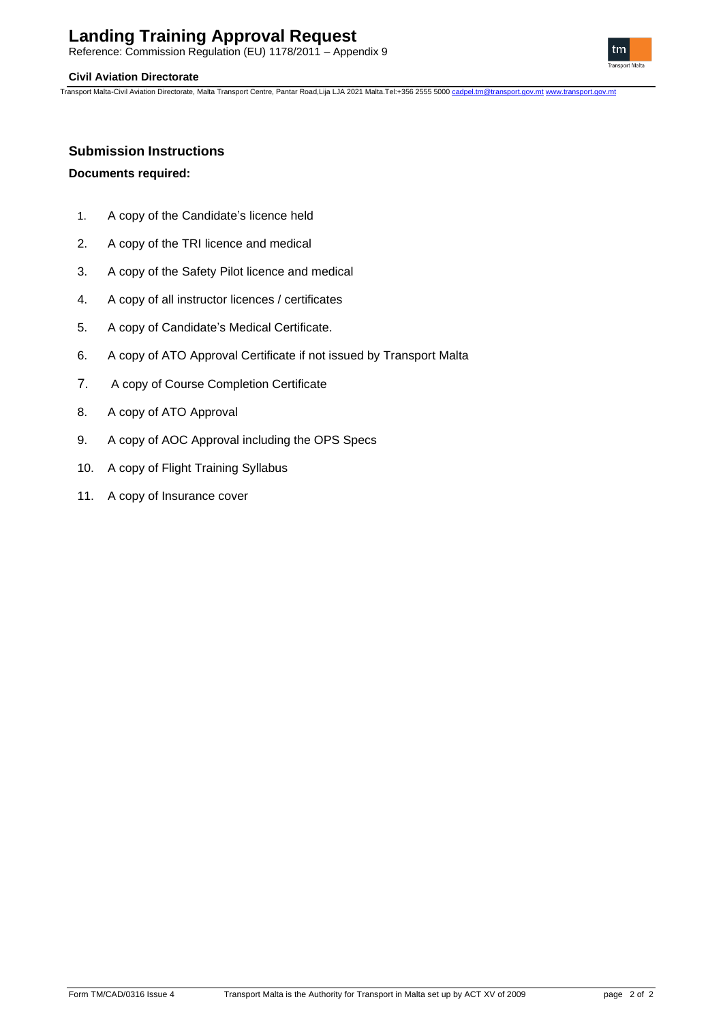# **Landing Training Approval Request**

Reference: Commission Regulation (EU) 1178/2011 – Appendix 9

## **Civil Aviation Directorate**

Transport Malta-Civil Aviation Directorate, Malta Transport Centre, Pantar Road,Lija LJA 2021 Malta.Tel:+356 2555 5000 [cadpel.tm@transport.gov.mt](mailto:cadpel.tm@transport.gov.mt) [www.transport.gov.mt](http://www.transport.gov.mt/)



# **Submission Instructions**

## **Documents required:**

- 1. A copy of the Candidate's licence held
- 2. A copy of the TRI licence and medical
- 3. A copy of the Safety Pilot licence and medical
- 4. A copy of all instructor licences / certificates
- 5. A copy of Candidate's Medical Certificate.
- 6. A copy of ATO Approval Certificate if not issued by Transport Malta
- 7. A copy of Course Completion Certificate
- 8. A copy of ATO Approval
- 9. A copy of AOC Approval including the OPS Specs
- 10. A copy of Flight Training Syllabus
- 11. A copy of Insurance cover